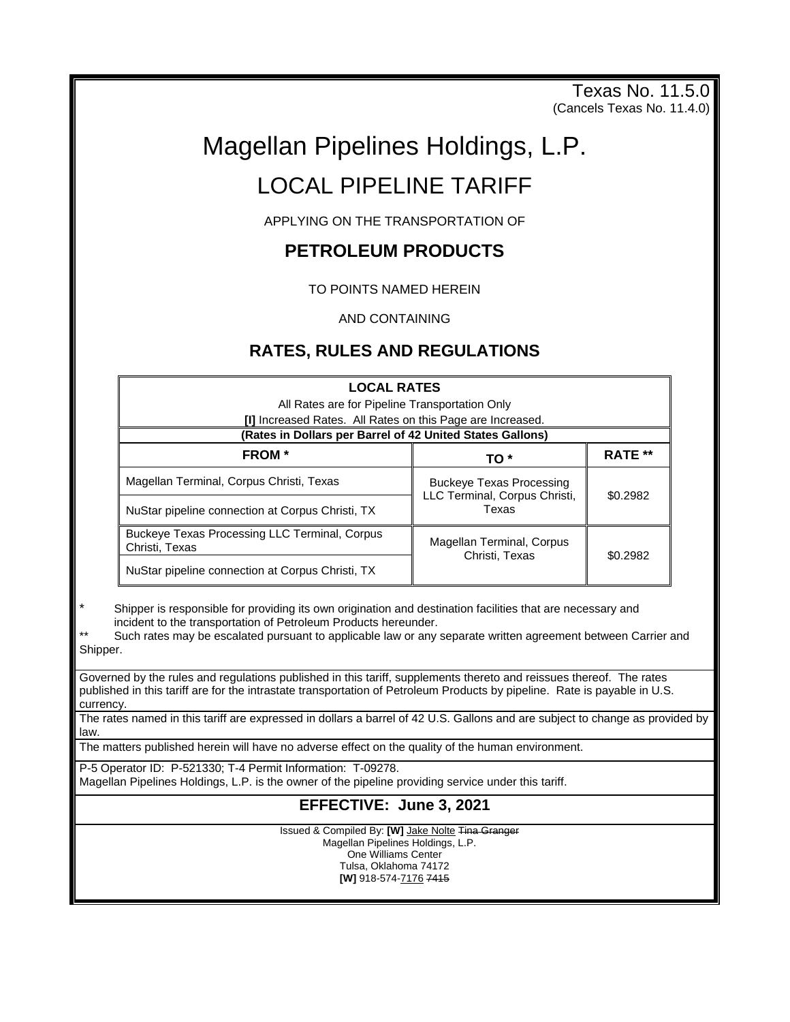Texas No. 11.5.0 (Cancels Texas No. 11.4.0)

# Magellan Pipelines Holdings, L.P.

# LOCAL PIPELINE TARIFF

APPLYING ON THE TRANSPORTATION OF

# **PETROLEUM PRODUCTS**

TO POINTS NAMED HEREIN

AND CONTAINING

# **RATES, RULES AND REGULATIONS**

| <b>LOCAL RATES</b>                                                     |                                                                           |                |
|------------------------------------------------------------------------|---------------------------------------------------------------------------|----------------|
| All Rates are for Pipeline Transportation Only                         |                                                                           |                |
| [I] Increased Rates. All Rates on this Page are Increased.             |                                                                           |                |
| (Rates in Dollars per Barrel of 42 United States Gallons)              |                                                                           |                |
| <b>FROM</b> *                                                          | TO *                                                                      | <b>RATE **</b> |
| Magellan Terminal, Corpus Christi, Texas                               | <b>Buckeye Texas Processing</b><br>LLC Terminal, Corpus Christi,<br>Texas | \$0.2982       |
| NuStar pipeline connection at Corpus Christi, TX                       |                                                                           |                |
| <b>Buckeve Texas Processing LLC Terminal, Corpus</b><br>Christi, Texas | Magellan Terminal, Corpus<br>Christi, Texas                               | \$0.2982       |
| NuStar pipeline connection at Corpus Christi, TX                       |                                                                           |                |

Shipper is responsible for providing its own origination and destination facilities that are necessary and incident to the transportation of Petroleum Products hereunder.

Such rates may be escalated pursuant to applicable law or any separate written agreement between Carrier and Shipper.

Governed by the rules and regulations published in this tariff, supplements thereto and reissues thereof. The rates published in this tariff are for the intrastate transportation of Petroleum Products by pipeline. Rate is payable in U.S. currency.

The rates named in this tariff are expressed in dollars a barrel of 42 U.S. Gallons and are subject to change as provided by law.

The matters published herein will have no adverse effect on the quality of the human environment.

P-5 Operator ID: P-521330; T-4 Permit Information: T-09278.

Magellan Pipelines Holdings, L.P. is the owner of the pipeline providing service under this tariff.

# **EFFECTIVE: June 3, 2021**

Issued & Compiled By: **[W]** Jake Nolte Tina Granger Magellan Pipelines Holdings, L.P. One Williams Center Tulsa, Oklahoma 74172

**[W]** 918-574-7176 7415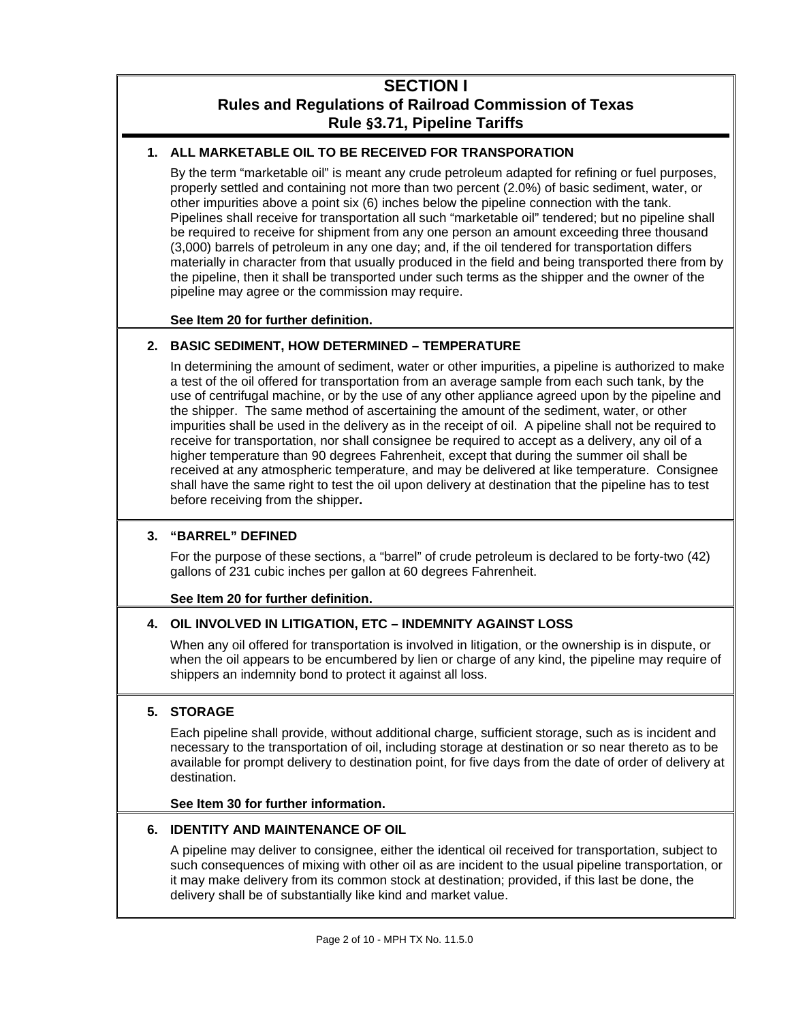# **SECTION I Rules and Regulations of Railroad Commission of Texas Rule §3.71, Pipeline Tariffs**

# **1. ALL MARKETABLE OIL TO BE RECEIVED FOR TRANSPORATION**

By the term "marketable oil" is meant any crude petroleum adapted for refining or fuel purposes, properly settled and containing not more than two percent (2.0%) of basic sediment, water, or other impurities above a point six (6) inches below the pipeline connection with the tank. Pipelines shall receive for transportation all such "marketable oil" tendered; but no pipeline shall be required to receive for shipment from any one person an amount exceeding three thousand (3,000) barrels of petroleum in any one day; and, if the oil tendered for transportation differs materially in character from that usually produced in the field and being transported there from by the pipeline, then it shall be transported under such terms as the shipper and the owner of the pipeline may agree or the commission may require.

#### **See Item 20 for further definition.**

# **2. BASIC SEDIMENT, HOW DETERMINED – TEMPERATURE**

In determining the amount of sediment, water or other impurities, a pipeline is authorized to make a test of the oil offered for transportation from an average sample from each such tank, by the use of centrifugal machine, or by the use of any other appliance agreed upon by the pipeline and the shipper. The same method of ascertaining the amount of the sediment, water, or other impurities shall be used in the delivery as in the receipt of oil. A pipeline shall not be required to receive for transportation, nor shall consignee be required to accept as a delivery, any oil of a higher temperature than 90 degrees Fahrenheit, except that during the summer oil shall be received at any atmospheric temperature, and may be delivered at like temperature. Consignee shall have the same right to test the oil upon delivery at destination that the pipeline has to test before receiving from the shipper**.**

# **3. "BARREL" DEFINED**

For the purpose of these sections, a "barrel" of crude petroleum is declared to be forty-two (42) gallons of 231 cubic inches per gallon at 60 degrees Fahrenheit.

#### **See Item 20 for further definition.**

# **4. OIL INVOLVED IN LITIGATION, ETC – INDEMNITY AGAINST LOSS**

When any oil offered for transportation is involved in litigation, or the ownership is in dispute, or when the oil appears to be encumbered by lien or charge of any kind, the pipeline may require of shippers an indemnity bond to protect it against all loss.

# **5. STORAGE**

Each pipeline shall provide, without additional charge, sufficient storage, such as is incident and necessary to the transportation of oil, including storage at destination or so near thereto as to be available for prompt delivery to destination point, for five days from the date of order of delivery at destination.

# **See Item 30 for further information.**

# **6. IDENTITY AND MAINTENANCE OF OIL**

A pipeline may deliver to consignee, either the identical oil received for transportation, subject to such consequences of mixing with other oil as are incident to the usual pipeline transportation, or it may make delivery from its common stock at destination; provided, if this last be done, the delivery shall be of substantially like kind and market value.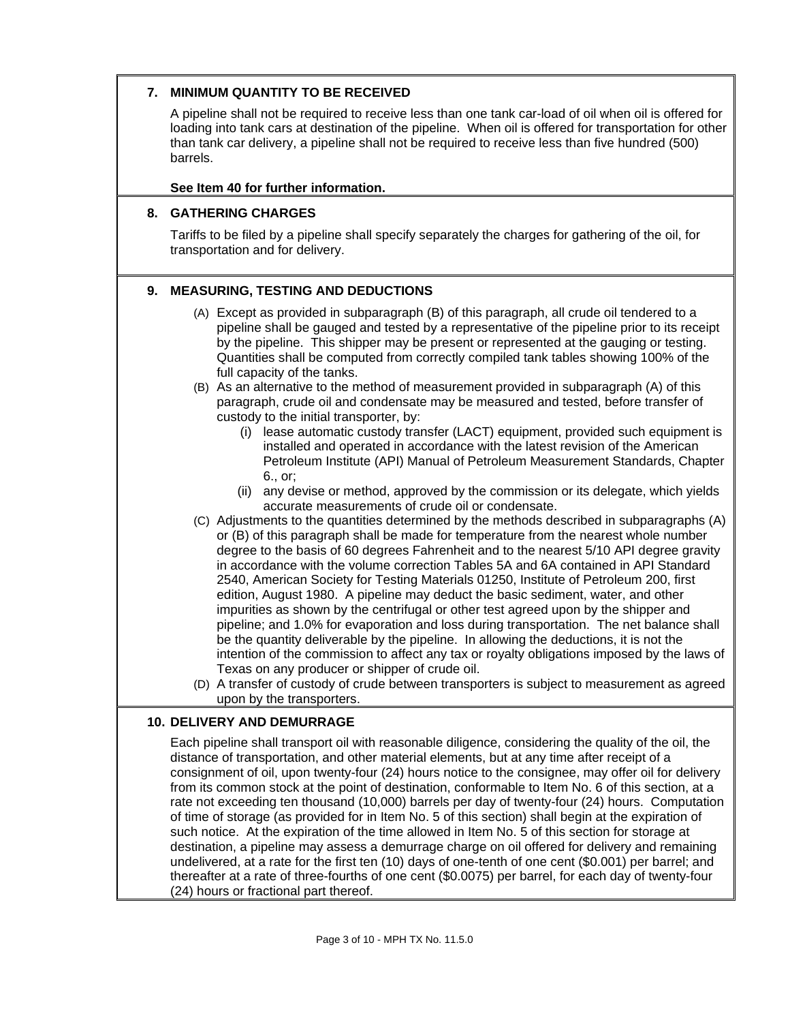#### **7. MINIMUM QUANTITY TO BE RECEIVED**

A pipeline shall not be required to receive less than one tank car-load of oil when oil is offered for loading into tank cars at destination of the pipeline. When oil is offered for transportation for other than tank car delivery, a pipeline shall not be required to receive less than five hundred (500) barrels.

#### **See Item 40 for further information.**

#### **8. GATHERING CHARGES**

Tariffs to be filed by a pipeline shall specify separately the charges for gathering of the oil, for transportation and for delivery.

# **9. MEASURING, TESTING AND DEDUCTIONS**

- (A) Except as provided in subparagraph (B) of this paragraph, all crude oil tendered to a pipeline shall be gauged and tested by a representative of the pipeline prior to its receipt by the pipeline. This shipper may be present or represented at the gauging or testing. Quantities shall be computed from correctly compiled tank tables showing 100% of the full capacity of the tanks.
- (B) As an alternative to the method of measurement provided in subparagraph (A) of this paragraph, crude oil and condensate may be measured and tested, before transfer of custody to the initial transporter, by:
	- (i) lease automatic custody transfer (LACT) equipment, provided such equipment is installed and operated in accordance with the latest revision of the American Petroleum Institute (API) Manual of Petroleum Measurement Standards, Chapter 6., or;
	- (ii) any devise or method, approved by the commission or its delegate, which yields accurate measurements of crude oil or condensate.
- (C) Adjustments to the quantities determined by the methods described in subparagraphs (A) or (B) of this paragraph shall be made for temperature from the nearest whole number degree to the basis of 60 degrees Fahrenheit and to the nearest 5/10 API degree gravity in accordance with the volume correction Tables 5A and 6A contained in API Standard 2540, American Society for Testing Materials 01250, Institute of Petroleum 200, first edition, August 1980. A pipeline may deduct the basic sediment, water, and other impurities as shown by the centrifugal or other test agreed upon by the shipper and pipeline; and 1.0% for evaporation and loss during transportation. The net balance shall be the quantity deliverable by the pipeline. In allowing the deductions, it is not the intention of the commission to affect any tax or royalty obligations imposed by the laws of Texas on any producer or shipper of crude oil.
- (D) A transfer of custody of crude between transporters is subject to measurement as agreed upon by the transporters.

#### **10. DELIVERY AND DEMURRAGE**

Each pipeline shall transport oil with reasonable diligence, considering the quality of the oil, the distance of transportation, and other material elements, but at any time after receipt of a consignment of oil, upon twenty-four (24) hours notice to the consignee, may offer oil for delivery from its common stock at the point of destination, conformable to Item No. 6 of this section, at a rate not exceeding ten thousand (10,000) barrels per day of twenty-four (24) hours. Computation of time of storage (as provided for in Item No. 5 of this section) shall begin at the expiration of such notice. At the expiration of the time allowed in Item No. 5 of this section for storage at destination, a pipeline may assess a demurrage charge on oil offered for delivery and remaining undelivered, at a rate for the first ten (10) days of one-tenth of one cent (\$0.001) per barrel; and thereafter at a rate of three-fourths of one cent (\$0.0075) per barrel, for each day of twenty-four (24) hours or fractional part thereof.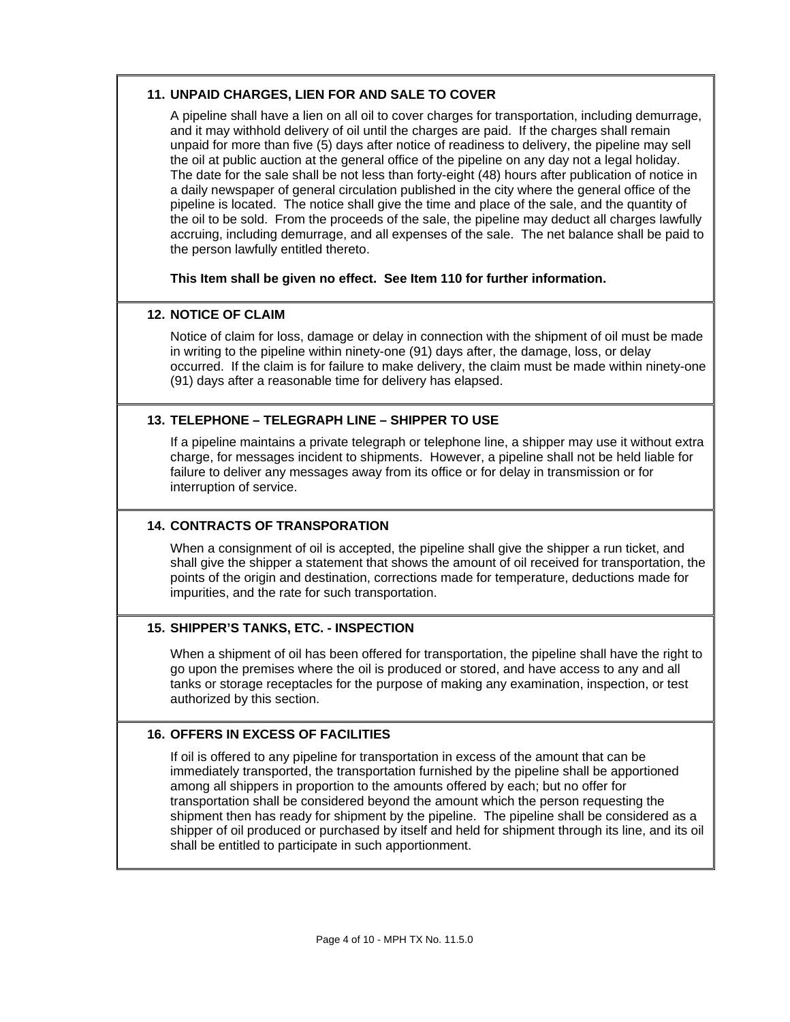#### **11. UNPAID CHARGES, LIEN FOR AND SALE TO COVER**

A pipeline shall have a lien on all oil to cover charges for transportation, including demurrage, and it may withhold delivery of oil until the charges are paid. If the charges shall remain unpaid for more than five (5) days after notice of readiness to delivery, the pipeline may sell the oil at public auction at the general office of the pipeline on any day not a legal holiday. The date for the sale shall be not less than forty-eight (48) hours after publication of notice in a daily newspaper of general circulation published in the city where the general office of the pipeline is located. The notice shall give the time and place of the sale, and the quantity of the oil to be sold. From the proceeds of the sale, the pipeline may deduct all charges lawfully accruing, including demurrage, and all expenses of the sale. The net balance shall be paid to the person lawfully entitled thereto.

**This Item shall be given no effect. See Item 110 for further information.**

#### **12. NOTICE OF CLAIM**

Notice of claim for loss, damage or delay in connection with the shipment of oil must be made in writing to the pipeline within ninety-one (91) days after, the damage, loss, or delay occurred. If the claim is for failure to make delivery, the claim must be made within ninety-one (91) days after a reasonable time for delivery has elapsed.

#### **13. TELEPHONE – TELEGRAPH LINE – SHIPPER TO USE**

If a pipeline maintains a private telegraph or telephone line, a shipper may use it without extra charge, for messages incident to shipments. However, a pipeline shall not be held liable for failure to deliver any messages away from its office or for delay in transmission or for interruption of service.

#### **14. CONTRACTS OF TRANSPORATION**

When a consignment of oil is accepted, the pipeline shall give the shipper a run ticket, and shall give the shipper a statement that shows the amount of oil received for transportation, the points of the origin and destination, corrections made for temperature, deductions made for impurities, and the rate for such transportation.

#### **15. SHIPPER'S TANKS, ETC. - INSPECTION**

When a shipment of oil has been offered for transportation, the pipeline shall have the right to go upon the premises where the oil is produced or stored, and have access to any and all tanks or storage receptacles for the purpose of making any examination, inspection, or test authorized by this section.

#### **16. OFFERS IN EXCESS OF FACILITIES**

If oil is offered to any pipeline for transportation in excess of the amount that can be immediately transported, the transportation furnished by the pipeline shall be apportioned among all shippers in proportion to the amounts offered by each; but no offer for transportation shall be considered beyond the amount which the person requesting the shipment then has ready for shipment by the pipeline. The pipeline shall be considered as a shipper of oil produced or purchased by itself and held for shipment through its line, and its oil shall be entitled to participate in such apportionment.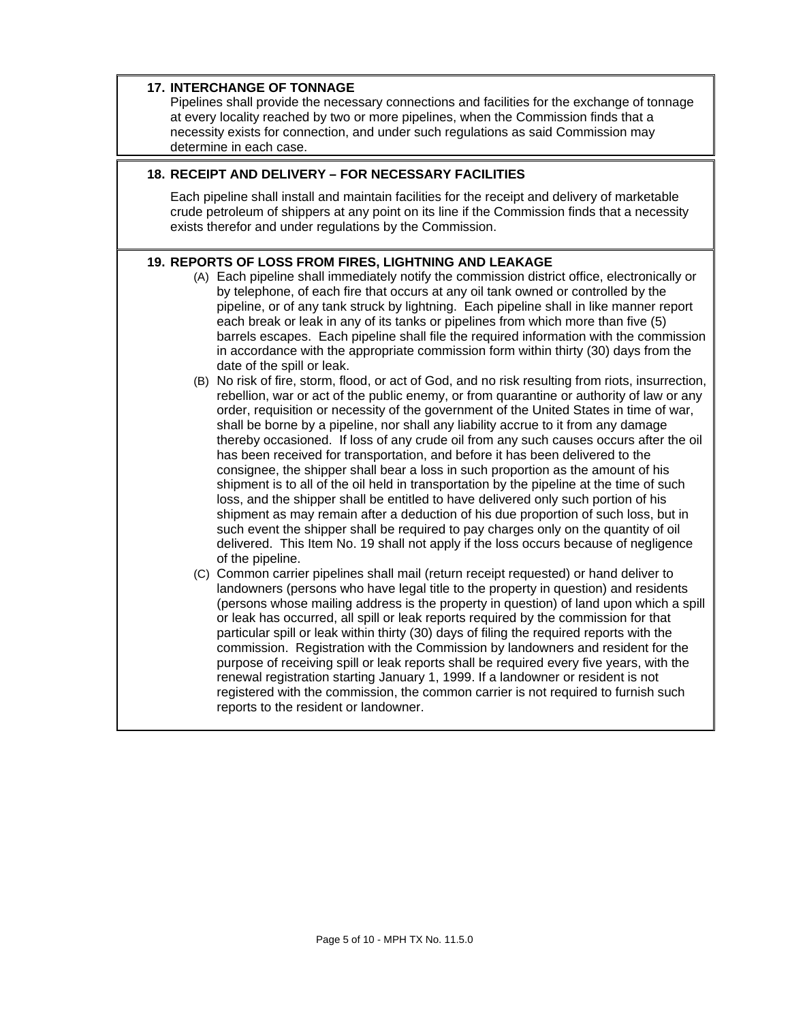| <b>17. INTERCHANGE OF TONNAGE</b><br>Pipelines shall provide the necessary connections and facilities for the exchange of tonnage<br>at every locality reached by two or more pipelines, when the Commission finds that a<br>necessity exists for connection, and under such regulations as said Commission may<br>determine in each case. |                                                                                                                                                                                                                                                                                                                                                                                                                                                                                                                                                                                                                                                                                                                                                                                                                                                                                                                                                                                                                                                                                                                                                                                                                                                                                                                                                                                                                                                                                                                                                                                                                                                                                                                                                                                                                                                                                                                                                                                                                                                                                                                                                                                                                                                                                                                                                                                                                                                                                                                                                                                                                                     |  |
|--------------------------------------------------------------------------------------------------------------------------------------------------------------------------------------------------------------------------------------------------------------------------------------------------------------------------------------------|-------------------------------------------------------------------------------------------------------------------------------------------------------------------------------------------------------------------------------------------------------------------------------------------------------------------------------------------------------------------------------------------------------------------------------------------------------------------------------------------------------------------------------------------------------------------------------------------------------------------------------------------------------------------------------------------------------------------------------------------------------------------------------------------------------------------------------------------------------------------------------------------------------------------------------------------------------------------------------------------------------------------------------------------------------------------------------------------------------------------------------------------------------------------------------------------------------------------------------------------------------------------------------------------------------------------------------------------------------------------------------------------------------------------------------------------------------------------------------------------------------------------------------------------------------------------------------------------------------------------------------------------------------------------------------------------------------------------------------------------------------------------------------------------------------------------------------------------------------------------------------------------------------------------------------------------------------------------------------------------------------------------------------------------------------------------------------------------------------------------------------------------------------------------------------------------------------------------------------------------------------------------------------------------------------------------------------------------------------------------------------------------------------------------------------------------------------------------------------------------------------------------------------------------------------------------------------------------------------------------------------------|--|
| 18. RECEIPT AND DELIVERY - FOR NECESSARY FACILITIES                                                                                                                                                                                                                                                                                        |                                                                                                                                                                                                                                                                                                                                                                                                                                                                                                                                                                                                                                                                                                                                                                                                                                                                                                                                                                                                                                                                                                                                                                                                                                                                                                                                                                                                                                                                                                                                                                                                                                                                                                                                                                                                                                                                                                                                                                                                                                                                                                                                                                                                                                                                                                                                                                                                                                                                                                                                                                                                                                     |  |
| Each pipeline shall install and maintain facilities for the receipt and delivery of marketable<br>crude petroleum of shippers at any point on its line if the Commission finds that a necessity<br>exists therefor and under regulations by the Commission.                                                                                |                                                                                                                                                                                                                                                                                                                                                                                                                                                                                                                                                                                                                                                                                                                                                                                                                                                                                                                                                                                                                                                                                                                                                                                                                                                                                                                                                                                                                                                                                                                                                                                                                                                                                                                                                                                                                                                                                                                                                                                                                                                                                                                                                                                                                                                                                                                                                                                                                                                                                                                                                                                                                                     |  |
|                                                                                                                                                                                                                                                                                                                                            | 19. REPORTS OF LOSS FROM FIRES, LIGHTNING AND LEAKAGE<br>(A) Each pipeline shall immediately notify the commission district office, electronically or<br>by telephone, of each fire that occurs at any oil tank owned or controlled by the<br>pipeline, or of any tank struck by lightning. Each pipeline shall in like manner report<br>each break or leak in any of its tanks or pipelines from which more than five (5)<br>barrels escapes. Each pipeline shall file the required information with the commission<br>in accordance with the appropriate commission form within thirty (30) days from the<br>date of the spill or leak.<br>(B) No risk of fire, storm, flood, or act of God, and no risk resulting from riots, insurrection,<br>rebellion, war or act of the public enemy, or from quarantine or authority of law or any<br>order, requisition or necessity of the government of the United States in time of war,<br>shall be borne by a pipeline, nor shall any liability accrue to it from any damage<br>thereby occasioned. If loss of any crude oil from any such causes occurs after the oil<br>has been received for transportation, and before it has been delivered to the<br>consignee, the shipper shall bear a loss in such proportion as the amount of his<br>shipment is to all of the oil held in transportation by the pipeline at the time of such<br>loss, and the shipper shall be entitled to have delivered only such portion of his<br>shipment as may remain after a deduction of his due proportion of such loss, but in<br>such event the shipper shall be required to pay charges only on the quantity of oil<br>delivered. This Item No. 19 shall not apply if the loss occurs because of negligence<br>of the pipeline.<br>(C) Common carrier pipelines shall mail (return receipt requested) or hand deliver to<br>landowners (persons who have legal title to the property in question) and residents<br>(persons whose mailing address is the property in question) of land upon which a spill<br>or leak has occurred, all spill or leak reports required by the commission for that<br>particular spill or leak within thirty (30) days of filing the required reports with the<br>commission. Registration with the Commission by landowners and resident for the<br>purpose of receiving spill or leak reports shall be required every five years, with the<br>renewal registration starting January 1, 1999. If a landowner or resident is not<br>registered with the commission, the common carrier is not required to furnish such<br>reports to the resident or landowner. |  |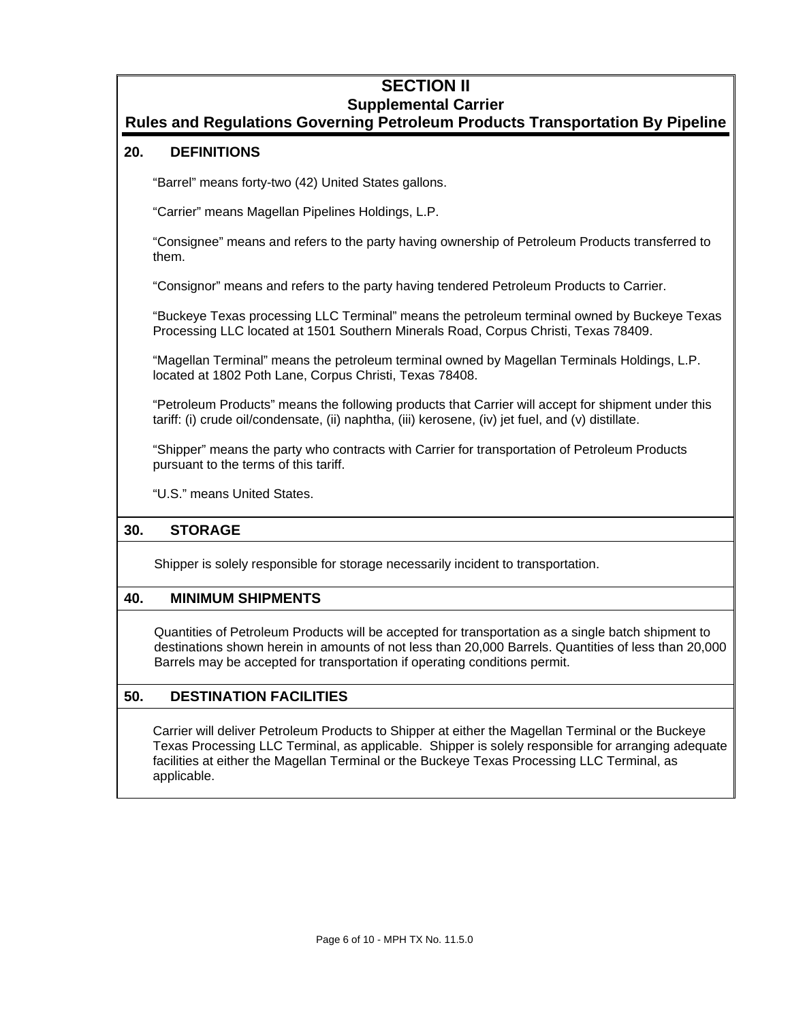# **SECTION II Supplemental Carrier**

# **Rules and Regulations Governing Petroleum Products Transportation By Pipeline**

# **20. DEFINITIONS**

"Barrel" means forty-two (42) United States gallons.

"Carrier" means Magellan Pipelines Holdings, L.P.

"Consignee" means and refers to the party having ownership of Petroleum Products transferred to them.

"Consignor" means and refers to the party having tendered Petroleum Products to Carrier.

"Buckeye Texas processing LLC Terminal" means the petroleum terminal owned by Buckeye Texas Processing LLC located at 1501 Southern Minerals Road, Corpus Christi, Texas 78409.

"Magellan Terminal" means the petroleum terminal owned by Magellan Terminals Holdings, L.P. located at 1802 Poth Lane, Corpus Christi, Texas 78408.

"Petroleum Products" means the following products that Carrier will accept for shipment under this tariff: (i) crude oil/condensate, (ii) naphtha, (iii) kerosene, (iv) jet fuel, and (v) distillate.

"Shipper" means the party who contracts with Carrier for transportation of Petroleum Products pursuant to the terms of this tariff.

"U.S." means United States.

# **30. STORAGE**

Shipper is solely responsible for storage necessarily incident to transportation.

# **40. MINIMUM SHIPMENTS**

Quantities of Petroleum Products will be accepted for transportation as a single batch shipment to destinations shown herein in amounts of not less than 20,000 Barrels. Quantities of less than 20,000 Barrels may be accepted for transportation if operating conditions permit.

# **50. DESTINATION FACILITIES**

Carrier will deliver Petroleum Products to Shipper at either the Magellan Terminal or the Buckeye Texas Processing LLC Terminal, as applicable. Shipper is solely responsible for arranging adequate facilities at either the Magellan Terminal or the Buckeye Texas Processing LLC Terminal, as applicable.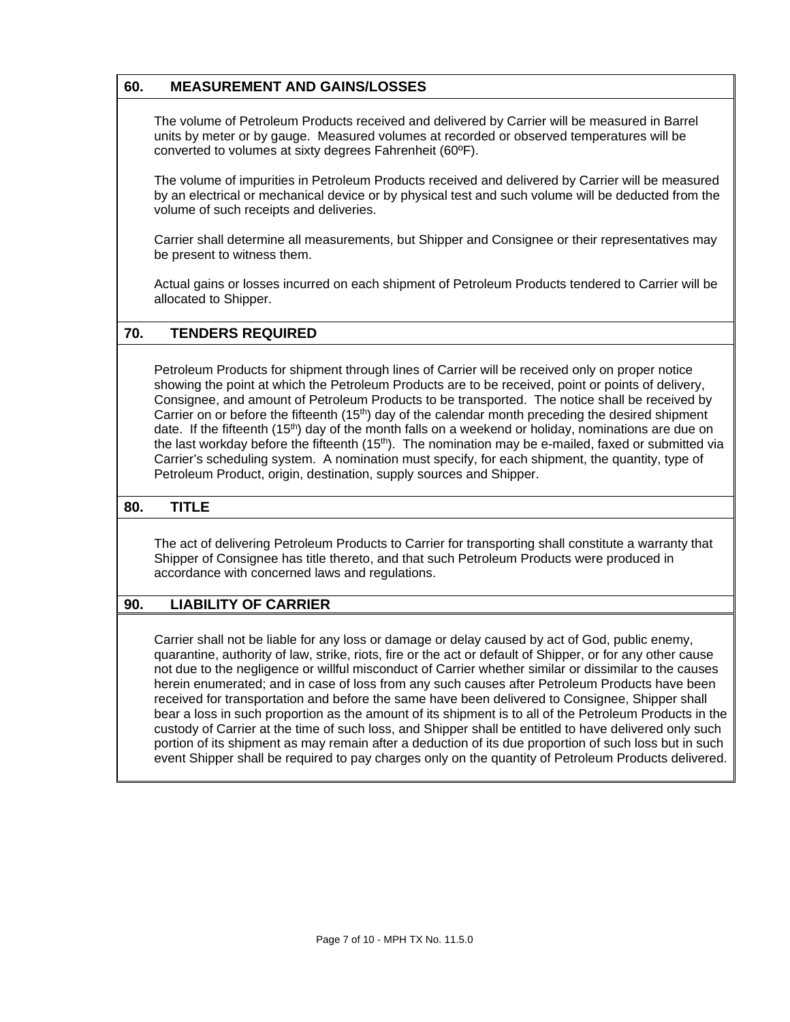# **60. MEASUREMENT AND GAINS/LOSSES**

The volume of Petroleum Products received and delivered by Carrier will be measured in Barrel units by meter or by gauge. Measured volumes at recorded or observed temperatures will be converted to volumes at sixty degrees Fahrenheit (60ºF).

The volume of impurities in Petroleum Products received and delivered by Carrier will be measured by an electrical or mechanical device or by physical test and such volume will be deducted from the volume of such receipts and deliveries.

Carrier shall determine all measurements, but Shipper and Consignee or their representatives may be present to witness them.

Actual gains or losses incurred on each shipment of Petroleum Products tendered to Carrier will be allocated to Shipper.

# **70. TENDERS REQUIRED**

Petroleum Products for shipment through lines of Carrier will be received only on proper notice showing the point at which the Petroleum Products are to be received, point or points of delivery, Consignee, and amount of Petroleum Products to be transported. The notice shall be received by Carrier on or before the fifteenth  $(15<sup>th</sup>)$  day of the calendar month preceding the desired shipment date. If the fifteenth  $(15<sup>th</sup>)$  day of the month falls on a weekend or holiday, nominations are due on the last workday before the fifteenth (15<sup>th</sup>). The nomination may be e-mailed, faxed or submitted via Carrier's scheduling system. A nomination must specify, for each shipment, the quantity, type of Petroleum Product, origin, destination, supply sources and Shipper.

#### **80. TITLE**

The act of delivering Petroleum Products to Carrier for transporting shall constitute a warranty that Shipper of Consignee has title thereto, and that such Petroleum Products were produced in accordance with concerned laws and regulations.

#### **90. LIABILITY OF CARRIER**

Carrier shall not be liable for any loss or damage or delay caused by act of God, public enemy, quarantine, authority of law, strike, riots, fire or the act or default of Shipper, or for any other cause not due to the negligence or willful misconduct of Carrier whether similar or dissimilar to the causes herein enumerated; and in case of loss from any such causes after Petroleum Products have been received for transportation and before the same have been delivered to Consignee, Shipper shall bear a loss in such proportion as the amount of its shipment is to all of the Petroleum Products in the custody of Carrier at the time of such loss, and Shipper shall be entitled to have delivered only such portion of its shipment as may remain after a deduction of its due proportion of such loss but in such event Shipper shall be required to pay charges only on the quantity of Petroleum Products delivered.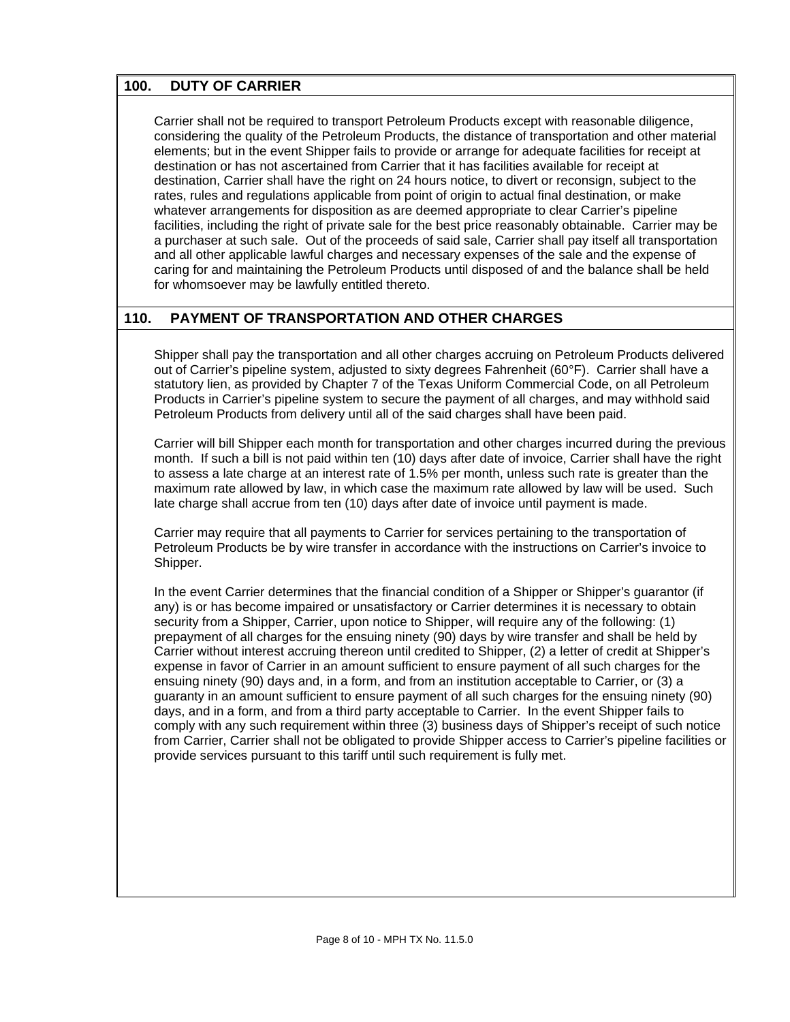# **100. DUTY OF CARRIER**

Carrier shall not be required to transport Petroleum Products except with reasonable diligence, considering the quality of the Petroleum Products, the distance of transportation and other material elements; but in the event Shipper fails to provide or arrange for adequate facilities for receipt at destination or has not ascertained from Carrier that it has facilities available for receipt at destination, Carrier shall have the right on 24 hours notice, to divert or reconsign, subject to the rates, rules and regulations applicable from point of origin to actual final destination, or make whatever arrangements for disposition as are deemed appropriate to clear Carrier's pipeline facilities, including the right of private sale for the best price reasonably obtainable. Carrier may be a purchaser at such sale. Out of the proceeds of said sale, Carrier shall pay itself all transportation and all other applicable lawful charges and necessary expenses of the sale and the expense of caring for and maintaining the Petroleum Products until disposed of and the balance shall be held for whomsoever may be lawfully entitled thereto.

# **110. PAYMENT OF TRANSPORTATION AND OTHER CHARGES**

Shipper shall pay the transportation and all other charges accruing on Petroleum Products delivered out of Carrier's pipeline system, adjusted to sixty degrees Fahrenheit (60°F). Carrier shall have a statutory lien, as provided by Chapter 7 of the Texas Uniform Commercial Code, on all Petroleum Products in Carrier's pipeline system to secure the payment of all charges, and may withhold said Petroleum Products from delivery until all of the said charges shall have been paid.

Carrier will bill Shipper each month for transportation and other charges incurred during the previous month. If such a bill is not paid within ten (10) days after date of invoice, Carrier shall have the right to assess a late charge at an interest rate of 1.5% per month, unless such rate is greater than the maximum rate allowed by law, in which case the maximum rate allowed by law will be used. Such late charge shall accrue from ten (10) days after date of invoice until payment is made.

Carrier may require that all payments to Carrier for services pertaining to the transportation of Petroleum Products be by wire transfer in accordance with the instructions on Carrier's invoice to Shipper.

In the event Carrier determines that the financial condition of a Shipper or Shipper's quarantor (if any) is or has become impaired or unsatisfactory or Carrier determines it is necessary to obtain security from a Shipper, Carrier, upon notice to Shipper, will require any of the following: (1) prepayment of all charges for the ensuing ninety (90) days by wire transfer and shall be held by Carrier without interest accruing thereon until credited to Shipper, (2) a letter of credit at Shipper's expense in favor of Carrier in an amount sufficient to ensure payment of all such charges for the ensuing ninety (90) days and, in a form, and from an institution acceptable to Carrier, or (3) a guaranty in an amount sufficient to ensure payment of all such charges for the ensuing ninety (90) days, and in a form, and from a third party acceptable to Carrier. In the event Shipper fails to comply with any such requirement within three (3) business days of Shipper's receipt of such notice from Carrier, Carrier shall not be obligated to provide Shipper access to Carrier's pipeline facilities or provide services pursuant to this tariff until such requirement is fully met.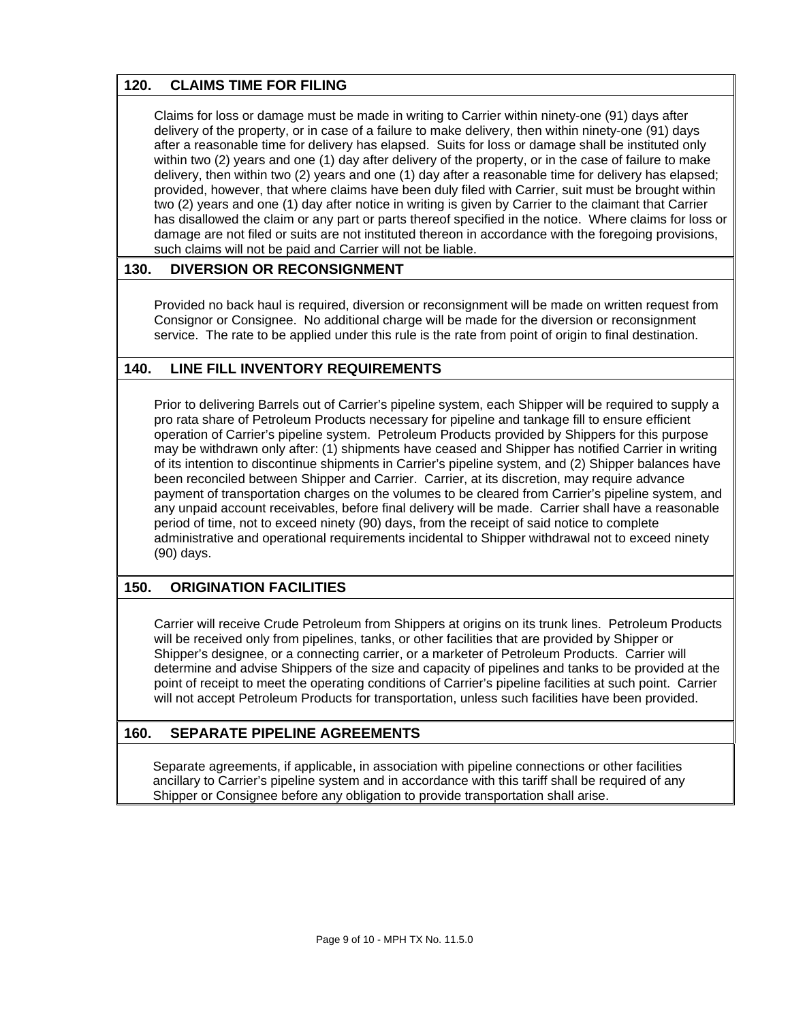# **120. CLAIMS TIME FOR FILING**

Claims for loss or damage must be made in writing to Carrier within ninety-one (91) days after delivery of the property, or in case of a failure to make delivery, then within ninety-one (91) days after a reasonable time for delivery has elapsed. Suits for loss or damage shall be instituted only within two (2) years and one (1) day after delivery of the property, or in the case of failure to make delivery, then within two (2) years and one (1) day after a reasonable time for delivery has elapsed; provided, however, that where claims have been duly filed with Carrier, suit must be brought within two (2) years and one (1) day after notice in writing is given by Carrier to the claimant that Carrier has disallowed the claim or any part or parts thereof specified in the notice. Where claims for loss or damage are not filed or suits are not instituted thereon in accordance with the foregoing provisions, such claims will not be paid and Carrier will not be liable.

# **130. DIVERSION OR RECONSIGNMENT**

Provided no back haul is required, diversion or reconsignment will be made on written request from Consignor or Consignee. No additional charge will be made for the diversion or reconsignment service. The rate to be applied under this rule is the rate from point of origin to final destination.

#### **140. LINE FILL INVENTORY REQUIREMENTS**

Prior to delivering Barrels out of Carrier's pipeline system, each Shipper will be required to supply a pro rata share of Petroleum Products necessary for pipeline and tankage fill to ensure efficient operation of Carrier's pipeline system. Petroleum Products provided by Shippers for this purpose may be withdrawn only after: (1) shipments have ceased and Shipper has notified Carrier in writing of its intention to discontinue shipments in Carrier's pipeline system, and (2) Shipper balances have been reconciled between Shipper and Carrier. Carrier, at its discretion, may require advance payment of transportation charges on the volumes to be cleared from Carrier's pipeline system, and any unpaid account receivables, before final delivery will be made. Carrier shall have a reasonable period of time, not to exceed ninety (90) days, from the receipt of said notice to complete administrative and operational requirements incidental to Shipper withdrawal not to exceed ninety (90) days.

#### **150. ORIGINATION FACILITIES**

Carrier will receive Crude Petroleum from Shippers at origins on its trunk lines. Petroleum Products will be received only from pipelines, tanks, or other facilities that are provided by Shipper or Shipper's designee, or a connecting carrier, or a marketer of Petroleum Products. Carrier will determine and advise Shippers of the size and capacity of pipelines and tanks to be provided at the point of receipt to meet the operating conditions of Carrier's pipeline facilities at such point. Carrier will not accept Petroleum Products for transportation, unless such facilities have been provided.

#### **160. SEPARATE PIPELINE AGREEMENTS**

Separate agreements, if applicable, in association with pipeline connections or other facilities ancillary to Carrier's pipeline system and in accordance with this tariff shall be required of any Shipper or Consignee before any obligation to provide transportation shall arise.